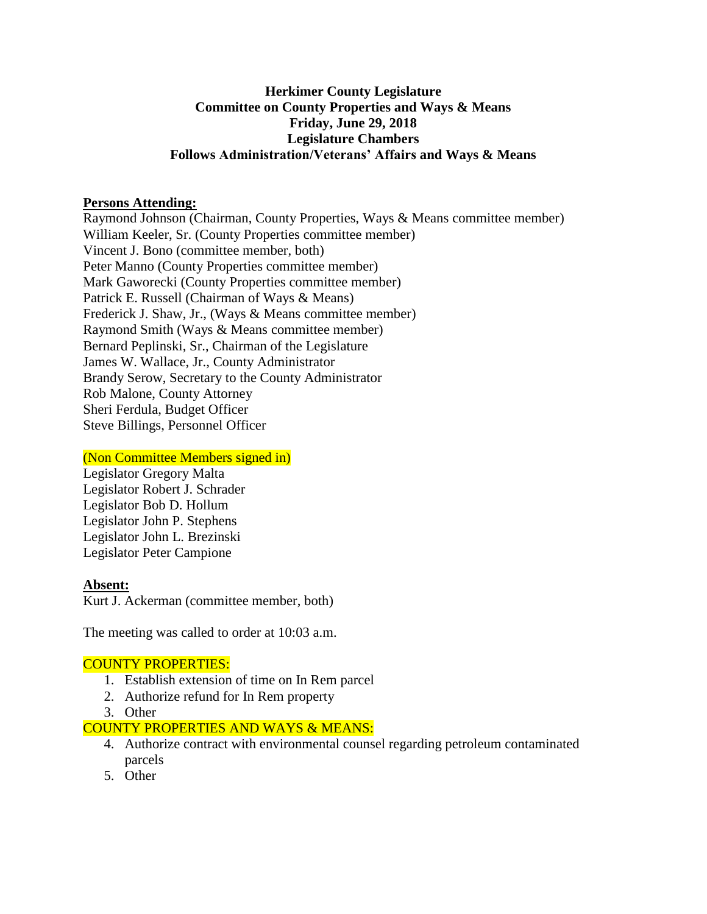## **Herkimer County Legislature Committee on County Properties and Ways & Means Friday, June 29, 2018 Legislature Chambers Follows Administration/Veterans' Affairs and Ways & Means**

#### **Persons Attending:**

Raymond Johnson (Chairman, County Properties, Ways & Means committee member) William Keeler, Sr. (County Properties committee member) Vincent J. Bono (committee member, both) Peter Manno (County Properties committee member) Mark Gaworecki (County Properties committee member) Patrick E. Russell (Chairman of Ways & Means) Frederick J. Shaw, Jr., (Ways & Means committee member) Raymond Smith (Ways & Means committee member) Bernard Peplinski, Sr., Chairman of the Legislature James W. Wallace, Jr., County Administrator Brandy Serow, Secretary to the County Administrator Rob Malone, County Attorney Sheri Ferdula, Budget Officer Steve Billings, Personnel Officer

#### (Non Committee Members signed in)

Legislator Gregory Malta Legislator Robert J. Schrader Legislator Bob D. Hollum Legislator John P. Stephens Legislator John L. Brezinski Legislator Peter Campione

## **Absent:**

Kurt J. Ackerman (committee member, both)

The meeting was called to order at 10:03 a.m.

## COUNTY PROPERTIES:

- 1. Establish extension of time on In Rem parcel
- 2. Authorize refund for In Rem property
- 3. Other

## COUNTY PROPERTIES AND WAYS & MEANS:

- 4. Authorize contract with environmental counsel regarding petroleum contaminated parcels
- 5. Other